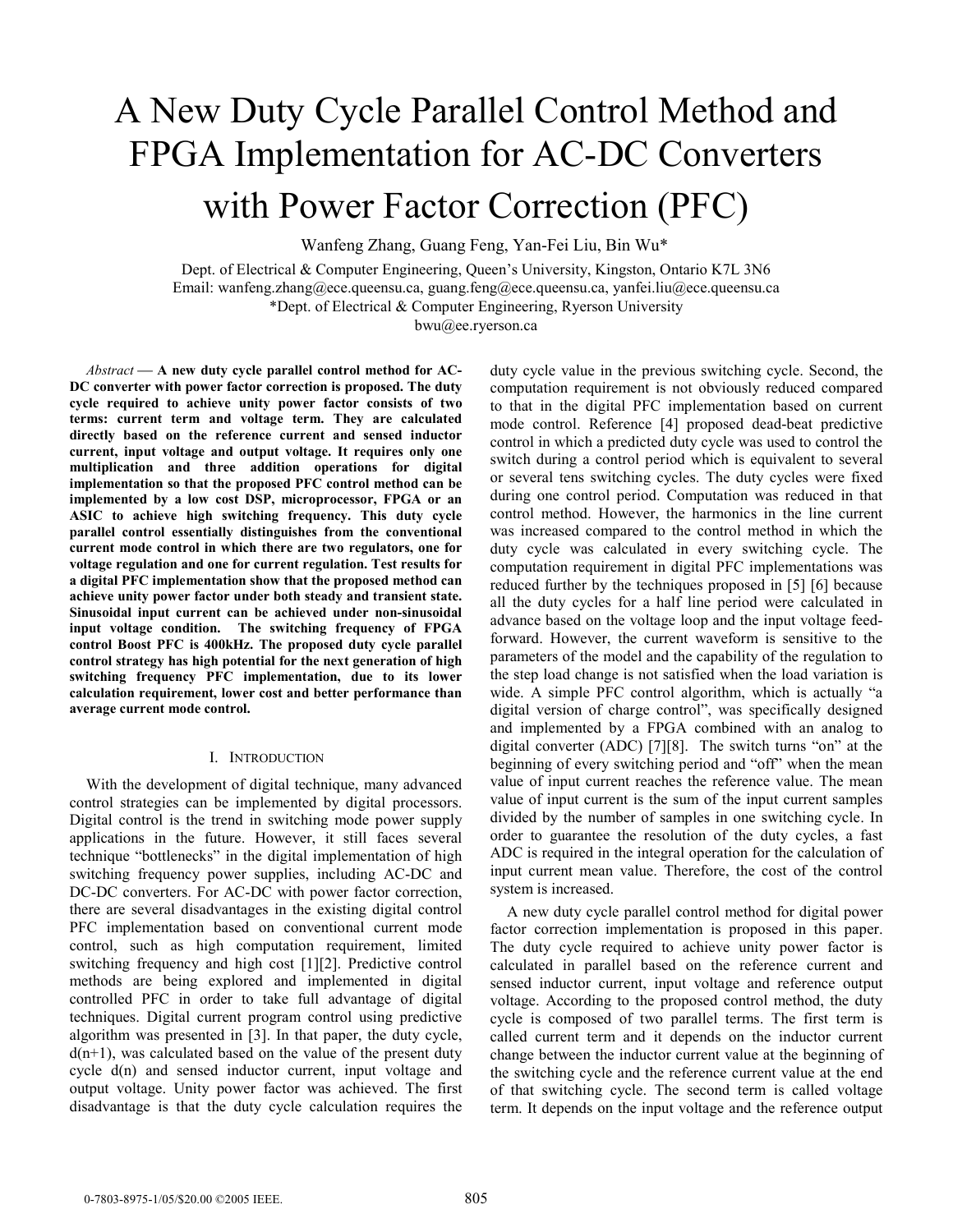# A New Duty Cycle Parallel Control Method and FPGA Implementation for AC-DC Converters with Power Factor Correction (PFC)

Wanfeng Zhang, Guang Feng, Yan-Fei Liu, Bin Wu\*

Dept. of Electrical & Computer Engineering, Queen's University, Kingston, Ontario K7L 3N6 Email: wanfeng.zhang@ece.queensu.ca, guang.feng@ece.queensu.ca, yanfei.liu@ece.queensu.ca \*Dept. of Electrical & Computer Engineering, Ryerson University bwu@ee.ryerson.ca

Abstract – A new duty cycle parallel control method for AC-**DC converter with power factor correction is proposed. The duty cycle required to achieve unity power factor consists of two terms: current term and voltage term. They are calculated directly based on the reference current and sensed inductor current, input voltage and output voltage. It requires only one multiplication and three addition operations for digital implementation so that the proposed PFC control method can be implemented by a low cost DSP, microprocessor, FPGA or an ASIC to achieve high switching frequency. This duty cycle parallel control essentially distinguishes from the conventional current mode control in which there are two regulators, one for voltage regulation and one for current regulation. Test results for a digital PFC implementation show that the proposed method can achieve unity power factor under both steady and transient state. Sinusoidal input current can be achieved under non-sinusoidal input voltage condition. The switching frequency of FPGA control Boost PFC is 400kHz. The proposed duty cycle parallel control strategy has high potential for the next generation of high switching frequency PFC implementation, due to its lower calculation requirement, lower cost and better performance than average current mode control.** 

### I. INTRODUCTION

With the development of digital technique, many advanced control strategies can be implemented by digital processors. Digital control is the trend in switching mode power supply applications in the future. However, it still faces several technique "bottlenecks" in the digital implementation of high switching frequency power supplies, including AC-DC and DC-DC converters. For AC-DC with power factor correction, there are several disadvantages in the existing digital control PFC implementation based on conventional current mode control, such as high computation requirement, limited switching frequency and high cost [1][2]. Predictive control methods are being explored and implemented in digital controlled PFC in order to take full advantage of digital techniques. Digital current program control using predictive algorithm was presented in [3]. In that paper, the duty cycle,  $d(n+1)$ , was calculated based on the value of the present duty cycle d(n) and sensed inductor current, input voltage and output voltage. Unity power factor was achieved. The first disadvantage is that the duty cycle calculation requires the

duty cycle value in the previous switching cycle. Second, the computation requirement is not obviously reduced compared to that in the digital PFC implementation based on current mode control. Reference [4] proposed dead-beat predictive control in which a predicted duty cycle was used to control the switch during a control period which is equivalent to several or several tens switching cycles. The duty cycles were fixed during one control period. Computation was reduced in that control method. However, the harmonics in the line current was increased compared to the control method in which the duty cycle was calculated in every switching cycle. The computation requirement in digital PFC implementations was reduced further by the techniques proposed in [5] [6] because all the duty cycles for a half line period were calculated in advance based on the voltage loop and the input voltage feedforward. However, the current waveform is sensitive to the parameters of the model and the capability of the regulation to the step load change is not satisfied when the load variation is wide. A simple PFC control algorithm, which is actually "a digital version of charge control", was specifically designed and implemented by a FPGA combined with an analog to digital converter (ADC) [7][8]. The switch turns "on" at the beginning of every switching period and "off" when the mean value of input current reaches the reference value. The mean value of input current is the sum of the input current samples divided by the number of samples in one switching cycle. In order to guarantee the resolution of the duty cycles, a fast ADC is required in the integral operation for the calculation of input current mean value. Therefore, the cost of the control system is increased.

A new duty cycle parallel control method for digital power factor correction implementation is proposed in this paper. The duty cycle required to achieve unity power factor is calculated in parallel based on the reference current and sensed inductor current, input voltage and reference output voltage. According to the proposed control method, the duty cycle is composed of two parallel terms. The first term is called current term and it depends on the inductor current change between the inductor current value at the beginning of the switching cycle and the reference current value at the end of that switching cycle. The second term is called voltage term. It depends on the input voltage and the reference output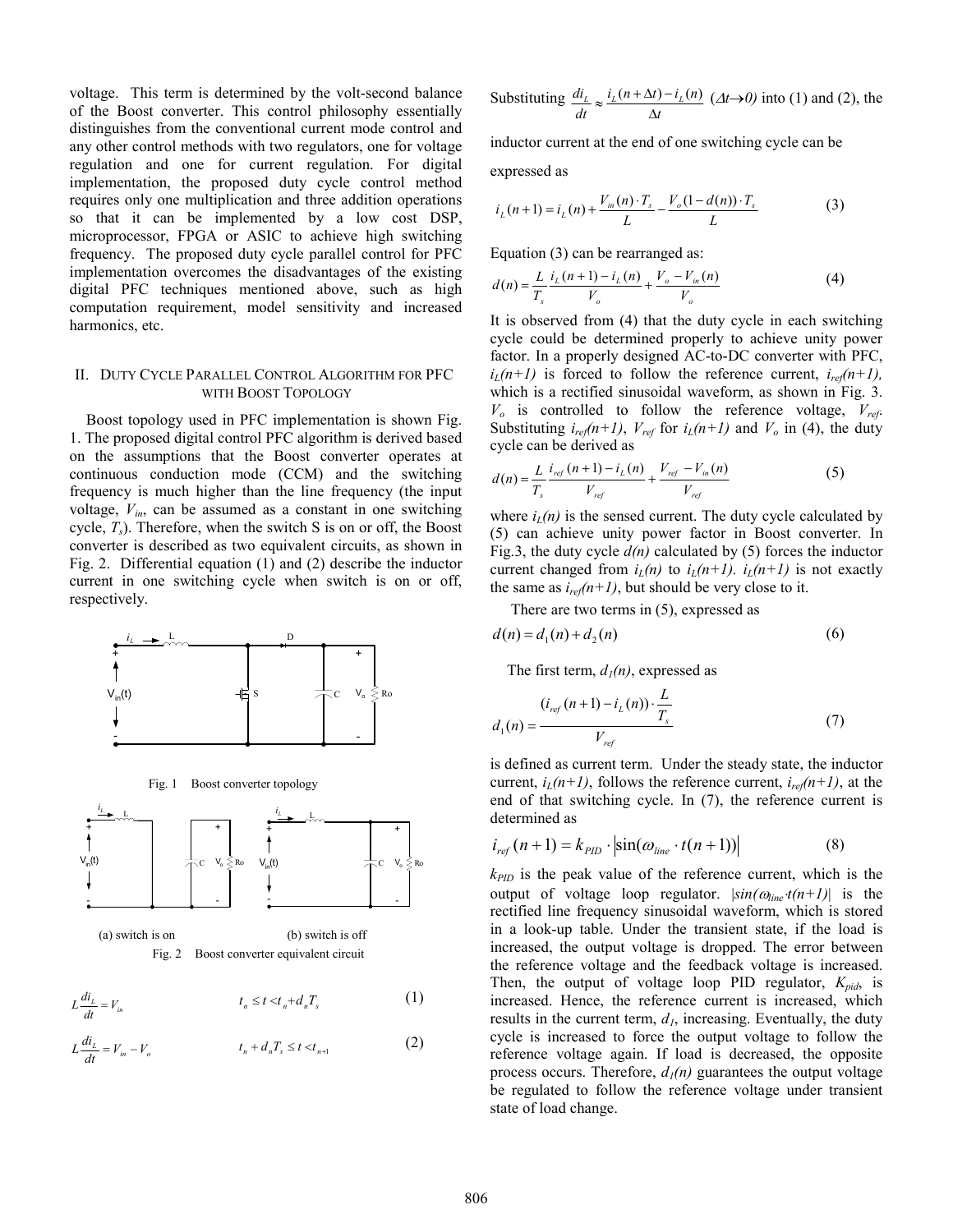voltage. This term is determined by the volt-second balance of the Boost converter. This control philosophy essentially distinguishes from the conventional current mode control and any other control methods with two regulators, one for voltage regulation and one for current regulation. For digital implementation, the proposed duty cycle control method requires only one multiplication and three addition operations so that it can be implemented by a low cost DSP, microprocessor, FPGA or ASIC to achieve high switching frequency. The proposed duty cycle parallel control for PFC implementation overcomes the disadvantages of the existing digital PFC techniques mentioned above, such as high computation requirement, model sensitivity and increased harmonics, etc.

# II. DUTY CYCLE PARALLEL CONTROL ALGORITHM FOR PFC WITH BOOST TOPOLOGY

Boost topology used in PFC implementation is shown Fig. 1. The proposed digital control PFC algorithm is derived based on the assumptions that the Boost converter operates at continuous conduction mode (CCM) and the switching frequency is much higher than the line frequency (the input voltage,  $V_{in}$ , can be assumed as a constant in one switching cycle, *Ts*). Therefore, when the switch S is on or off, the Boost converter is described as two equivalent circuits, as shown in Fig. 2. Differential equation (1) and (2) describe the inductor current in one switching cycle when switch is on or off, respectively.



Fig. 1 Boost converter topology



$$
L\frac{di_L}{dt} = V_{in} \qquad t_n \le t < t_n + d_n T_s \tag{1}
$$

$$
L\frac{di_L}{dt} = V_{in} - V_o \qquad t_n + d_n T_s \le t < t_{n+1} \tag{2}
$$

Substituting 
$$
\frac{di_L}{dt} \approx \frac{i_L(n + \Delta t) - i_L(n)}{\Delta t}
$$
 ( $\Delta t \rightarrow 0$ ) into (1) and (2), the

inductor current at the end of one switching cycle can be

expressed as

$$
i_{L}(n+1) = i_{L}(n) + \frac{V_{in}(n) \cdot T_{s}}{L} - \frac{V_{o}(1 - d(n)) \cdot T_{s}}{L}
$$
 (3)

Equation (3) can be rearranged as:

$$
d(n) = \frac{L}{T_s} \frac{i_L(n+1) - i_L(n)}{V_o} + \frac{V_o - V_{in}(n)}{V_o}
$$
 (4)

It is observed from (4) that the duty cycle in each switching cycle could be determined properly to achieve unity power factor. In a properly designed AC-to-DC converter with PFC,  $i_L(n+1)$  is forced to follow the reference current,  $i_{ref}(n+1)$ , which is a rectified sinusoidal waveform, as shown in Fig. 3.  $V_o$  is controlled to follow the reference voltage,  $V_{ref.}$ Substituting  $i_{ref}(n+1)$ ,  $V_{ref}$  for  $i_L(n+1)$  and  $V_o$  in (4), the duty cycle can be derived as

$$
d(n) = \frac{L}{T_s} \frac{i_{ref}(n+1) - i_L(n)}{V_{ref}} + \frac{V_{ref} - V_{in}(n)}{V_{ref}}
$$
(5)

where  $i_l(n)$  is the sensed current. The duty cycle calculated by (5) can achieve unity power factor in Boost converter. In Fig.3, the duty cycle  $d(n)$  calculated by (5) forces the inductor current changed from  $i_l(n)$  to  $i_l(n+1)$ .  $i_l(n+1)$  is not exactly the same as  $i_{ref}(n+1)$ , but should be very close to it.

There are two terms in (5), expressed as

$$
d(n) = d_1(n) + d_2(n)
$$
 (6)

The first term,  $d_1(n)$ , expressed as

$$
d_1(n) = \frac{(i_{ref}(n+1) - i_L(n)) \cdot \frac{L}{T_s}}{V_{ref}}
$$
(7)

is defined as current term. Under the steady state, the inductor current,  $i_l(n+1)$ , follows the reference current,  $i_{rel}(n+1)$ , at the end of that switching cycle. In (7), the reference current is determined as

$$
i_{ref}(n+1) = k_{PID} \cdot \left| \sin(\omega_{line} \cdot t(n+1)) \right| \tag{8}
$$

 $k_{PID}$  is the peak value of the reference current, which is the output of voltage loop regulator.  $|\sin(\omega_{\text{line}} t(n+1))|$  is the rectified line frequency sinusoidal waveform, which is stored in a look-up table. Under the transient state, if the load is increased, the output voltage is dropped. The error between the reference voltage and the feedback voltage is increased. Then, the output of voltage loop PID regulator, *Kpid*, is increased. Hence, the reference current is increased, which results in the current term,  $d<sub>l</sub>$ , increasing. Eventually, the duty cycle is increased to force the output voltage to follow the reference voltage again. If load is decreased, the opposite process occurs. Therefore,  $d_1(n)$  guarantees the output voltage be regulated to follow the reference voltage under transient state of load change.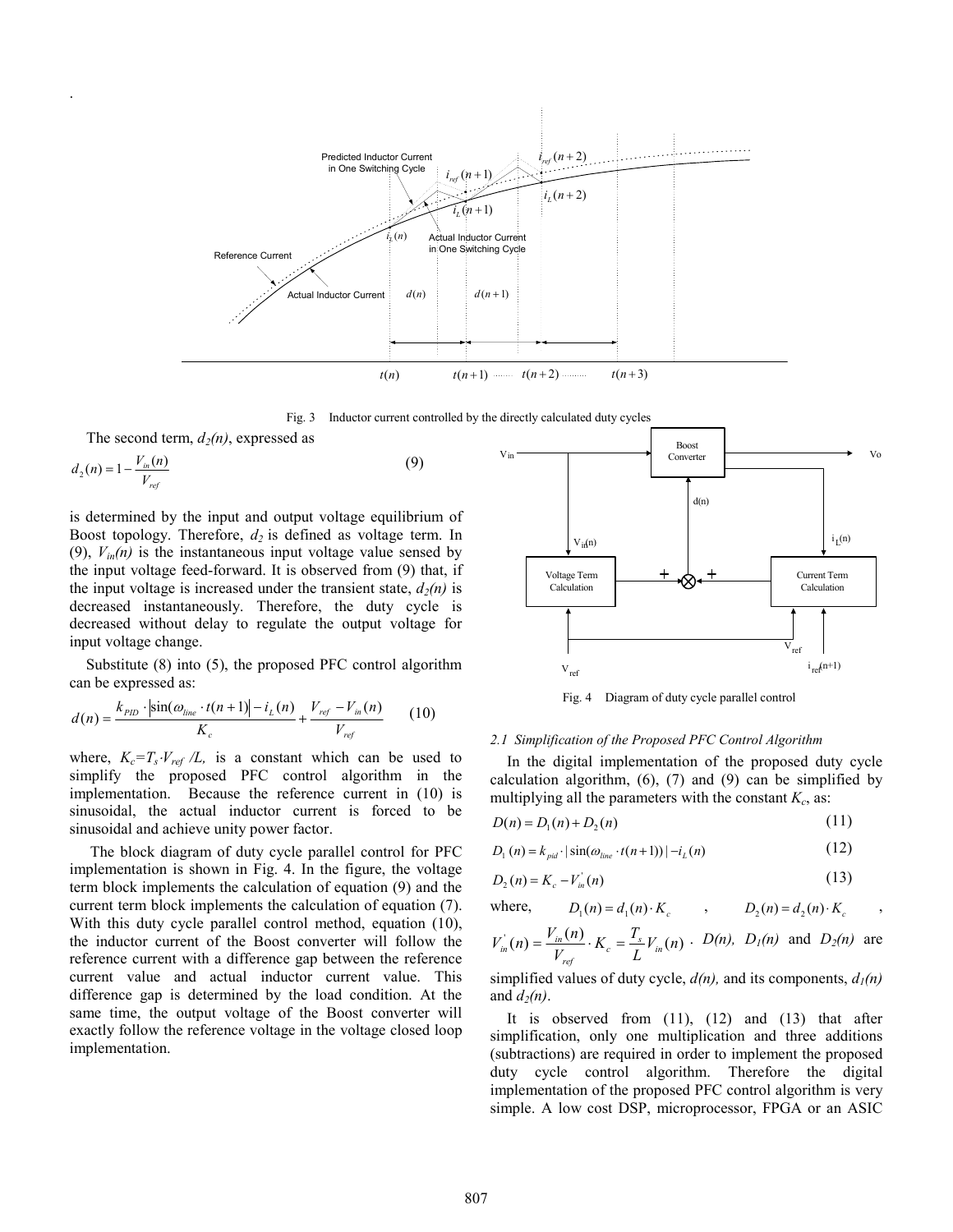

Fig. 3 Inductor current controlled by the directly calculated duty cycles

The second term,  $d_2(n)$ , expressed as

.

$$
d_2(n) = 1 - \frac{V_{in}(n)}{V_{ref}}\tag{9}
$$

is determined by the input and output voltage equilibrium of Boost topology. Therefore,  $d_2$  is defined as voltage term. In (9),  $V_{in}(n)$  is the instantaneous input voltage value sensed by the input voltage feed-forward. It is observed from (9) that, if the input voltage is increased under the transient state,  $d_2(n)$  is decreased instantaneously. Therefore, the duty cycle is decreased without delay to regulate the output voltage for input voltage change.

Substitute (8) into (5), the proposed PFC control algorithm can be expressed as:

$$
d(n) = \frac{k_{PID} \cdot |\sin(\omega_{line} \cdot t(n+1)| - i_L(n)}{K_c} + \frac{V_{ref} - V_m(n)}{V_{ref}} \qquad (10)
$$

where,  $K_c = T_s \cdot V_{ref} / L$ , is a constant which can be used to simplify the proposed PFC control algorithm in the implementation. Because the reference current in (10) is sinusoidal, the actual inductor current is forced to be sinusoidal and achieve unity power factor.

 The block diagram of duty cycle parallel control for PFC implementation is shown in Fig. 4. In the figure, the voltage term block implements the calculation of equation (9) and the current term block implements the calculation of equation (7). With this duty cycle parallel control method, equation (10), the inductor current of the Boost converter will follow the reference current with a difference gap between the reference current value and actual inductor current value. This difference gap is determined by the load condition. At the same time, the output voltage of the Boost converter will exactly follow the reference voltage in the voltage closed loop implementation.



Fig. 4 Diagram of duty cycle parallel control

# *2.1 Simplification of the Proposed PFC Control Algorithm*

In the digital implementation of the proposed duty cycle calculation algorithm,  $(6)$ ,  $(7)$  and  $(9)$  can be simplified by multiplying all the parameters with the constant  $K_c$ , as:

$$
D(n) = D_1(n) + D_2(n)
$$
\n(11)

$$
D_1(n) = k_{pid} \cdot |\sin(\omega_{line} \cdot t(n+1))| - i_L(n)
$$
\n(12)

$$
D_2(n) = K_c - V_{in}^{\dagger}(n) \tag{13}
$$

where, 
$$
D_1(n) = d_1(n) \cdot K_c
$$
,  $D_2(n) = d_2(n) \cdot K_c$ ,

$$
V_{in}^{'}(n) = \frac{V_{in}(n)}{V_{ref}} \cdot K_c = \frac{T_s}{L} V_{in}(n) \cdot D(n), D_l(n)
$$
 and  $D_2(n)$  are

simplified values of duty cycle,  $d(n)$ , and its components,  $d_1(n)$ and  $d_2(n)$ .

It is observed from  $(11)$ ,  $(12)$  and  $(13)$  that after simplification, only one multiplication and three additions (subtractions) are required in order to implement the proposed duty cycle control algorithm. Therefore the digital implementation of the proposed PFC control algorithm is very simple. A low cost DSP, microprocessor, FPGA or an ASIC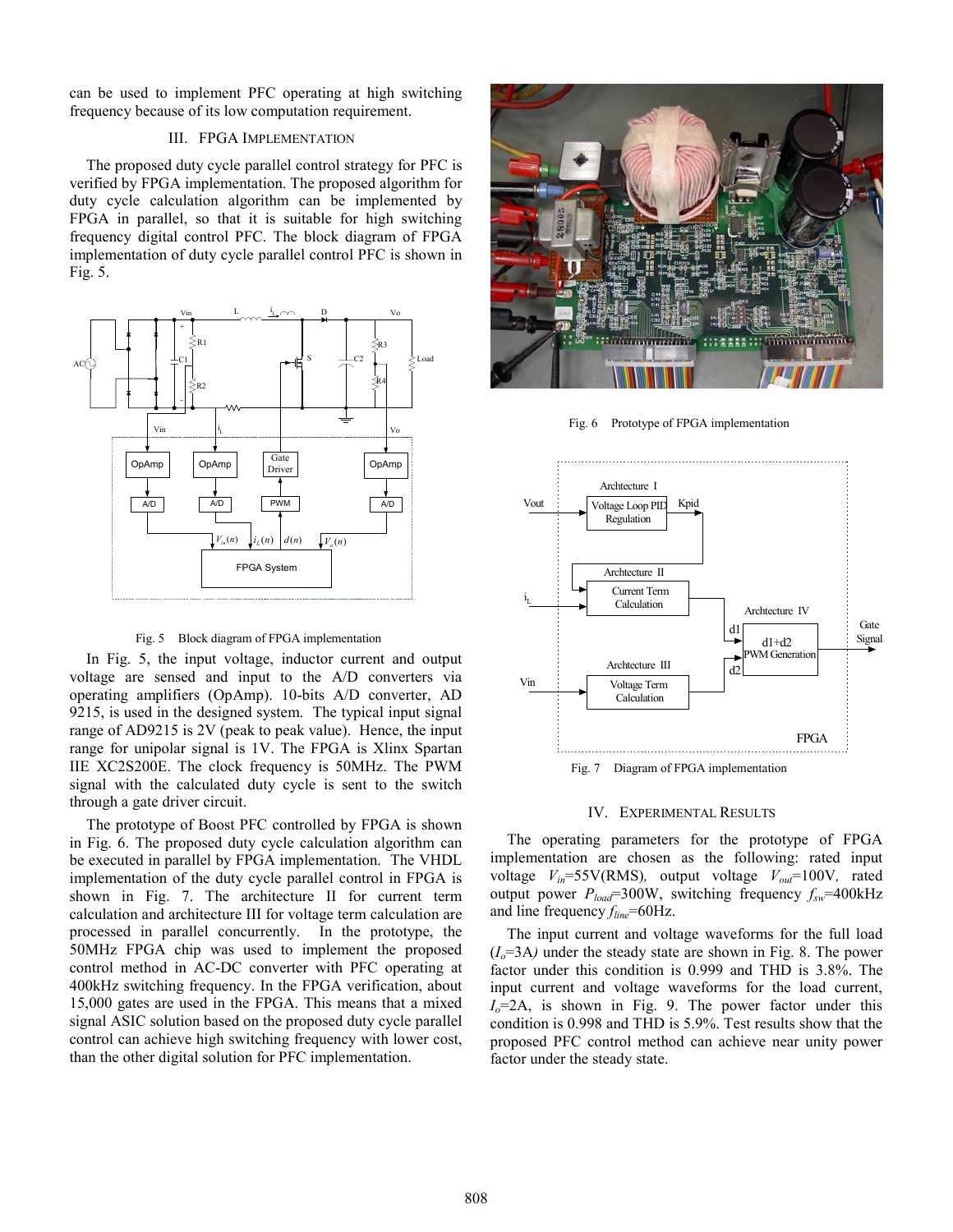can be used to implement PFC operating at high switching frequency because of its low computation requirement.

# III. FPGA IMPLEMENTATION

The proposed duty cycle parallel control strategy for PFC is verified by FPGA implementation. The proposed algorithm for duty cycle calculation algorithm can be implemented by FPGA in parallel, so that it is suitable for high switching frequency digital control PFC. The block diagram of FPGA implementation of duty cycle parallel control PFC is shown in Fig. 5.



### Fig. 5 Block diagram of FPGA implementation

In Fig. 5, the input voltage, inductor current and output voltage are sensed and input to the A/D converters via operating amplifiers (OpAmp). 10-bits A/D converter, AD 9215, is used in the designed system. The typical input signal range of AD9215 is 2V (peak to peak value). Hence, the input range for unipolar signal is 1V. The FPGA is Xlinx Spartan IIE XC2S200E. The clock frequency is 50MHz. The PWM signal with the calculated duty cycle is sent to the switch through a gate driver circuit.

The prototype of Boost PFC controlled by FPGA is shown in Fig. 6. The proposed duty cycle calculation algorithm can be executed in parallel by FPGA implementation. The VHDL implementation of the duty cycle parallel control in FPGA is shown in Fig. 7. The architecture II for current term calculation and architecture III for voltage term calculation are processed in parallel concurrently. In the prototype, the 50MHz FPGA chip was used to implement the proposed control method in AC-DC converter with PFC operating at 400kHz switching frequency. In the FPGA verification, about 15,000 gates are used in the FPGA. This means that a mixed signal ASIC solution based on the proposed duty cycle parallel control can achieve high switching frequency with lower cost, than the other digital solution for PFC implementation.



Fig. 6 Prototype of FPGA implementation



Fig. 7 Diagram of FPGA implementation

# IV. EXPERIMENTAL RESULTS

The operating parameters for the prototype of FPGA implementation are chosen as the following: rated input voltage *Vin*=55V(RMS)*,* output voltage *Vout*=100V*,* rated output power  $P_{load}$ =300W, switching frequency  $f_{sw}$ =400kHz and line frequency  $f_{line}$ =60Hz.

The input current and voltage waveforms for the full load  $(I<sub>o</sub>=3A)$  under the steady state are shown in Fig. 8. The power factor under this condition is 0.999 and THD is 3.8%. The input current and voltage waveforms for the load current,  $I<sub>o</sub>=2A$ , is shown in Fig. 9. The power factor under this condition is 0.998 and THD is 5.9%. Test results show that the proposed PFC control method can achieve near unity power factor under the steady state.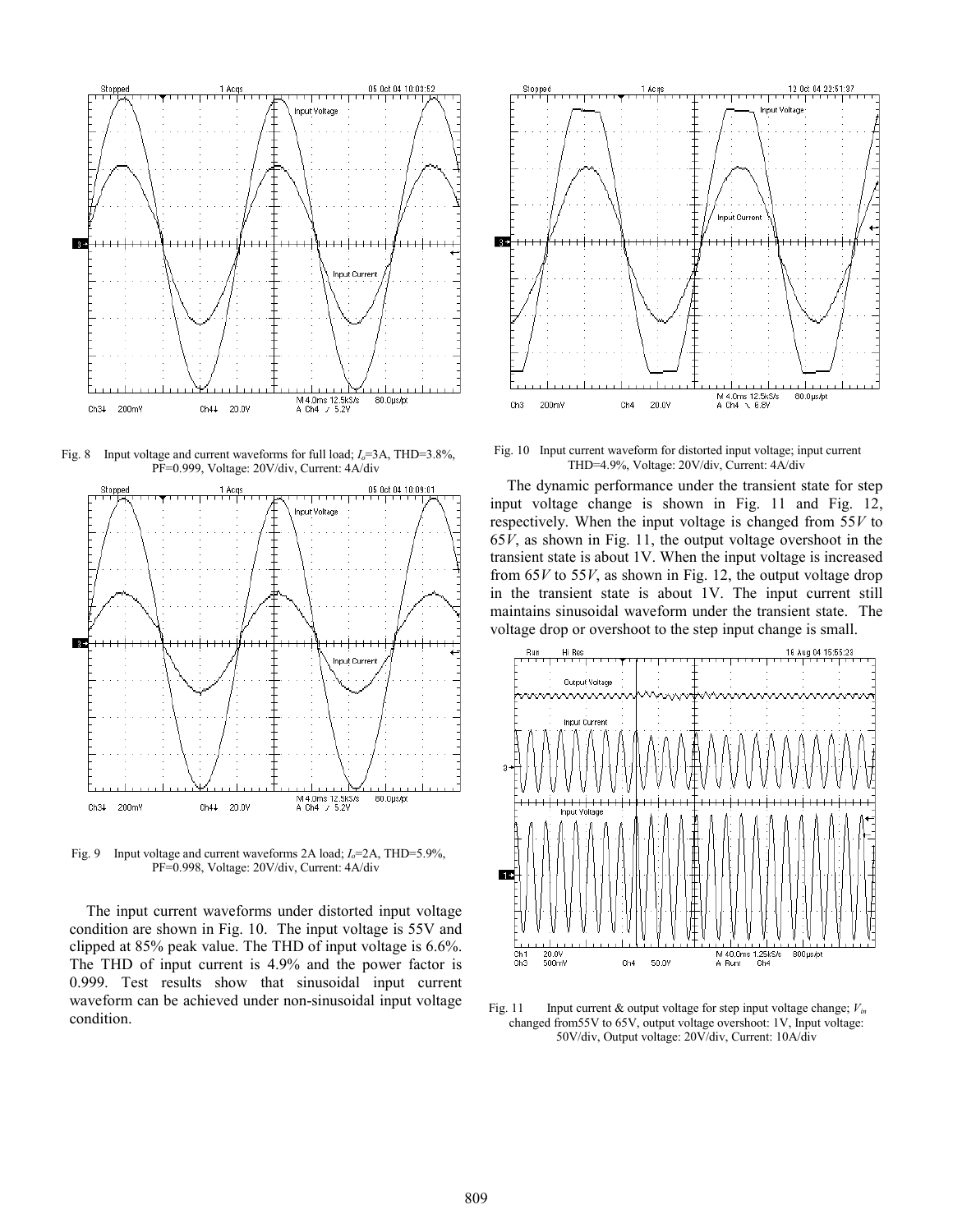

Fig. 8 Input voltage and current waveforms for full load;  $I_o = 3A$ , THD=3.8%, PF=0.999, Voltage: 20V/div, Current: 4A/div



Fig. 9 Input voltage and current waveforms 2A load;  $I_o$ =2A, THD=5.9%, PF=0.998, Voltage: 20V/div, Current: 4A/div

The input current waveforms under distorted input voltage condition are shown in Fig. 10. The input voltage is 55V and clipped at 85% peak value. The THD of input voltage is 6.6%. The THD of input current is 4.9% and the power factor is 0.999. Test results show that sinusoidal input current waveform can be achieved under non-sinusoidal input voltage condition.



Fig. 10 Input current waveform for distorted input voltage; input current THD=4.9%, Voltage: 20V/div, Current: 4A/div

The dynamic performance under the transient state for step input voltage change is shown in Fig. 11 and Fig. 12, respectively. When the input voltage is changed from 55*V* to 65*V*, as shown in Fig. 11, the output voltage overshoot in the transient state is about 1V. When the input voltage is increased from 65*V* to 55*V*, as shown in Fig. 12, the output voltage drop in the transient state is about 1V. The input current still maintains sinusoidal waveform under the transient state. The voltage drop or overshoot to the step input change is small.



Fig. 11 Input current & output voltage for step input voltage change;  $V_{in}$ changed from55V to 65V, output voltage overshoot: 1V, Input voltage: 50V/div, Output voltage: 20V/div, Current: 10A/div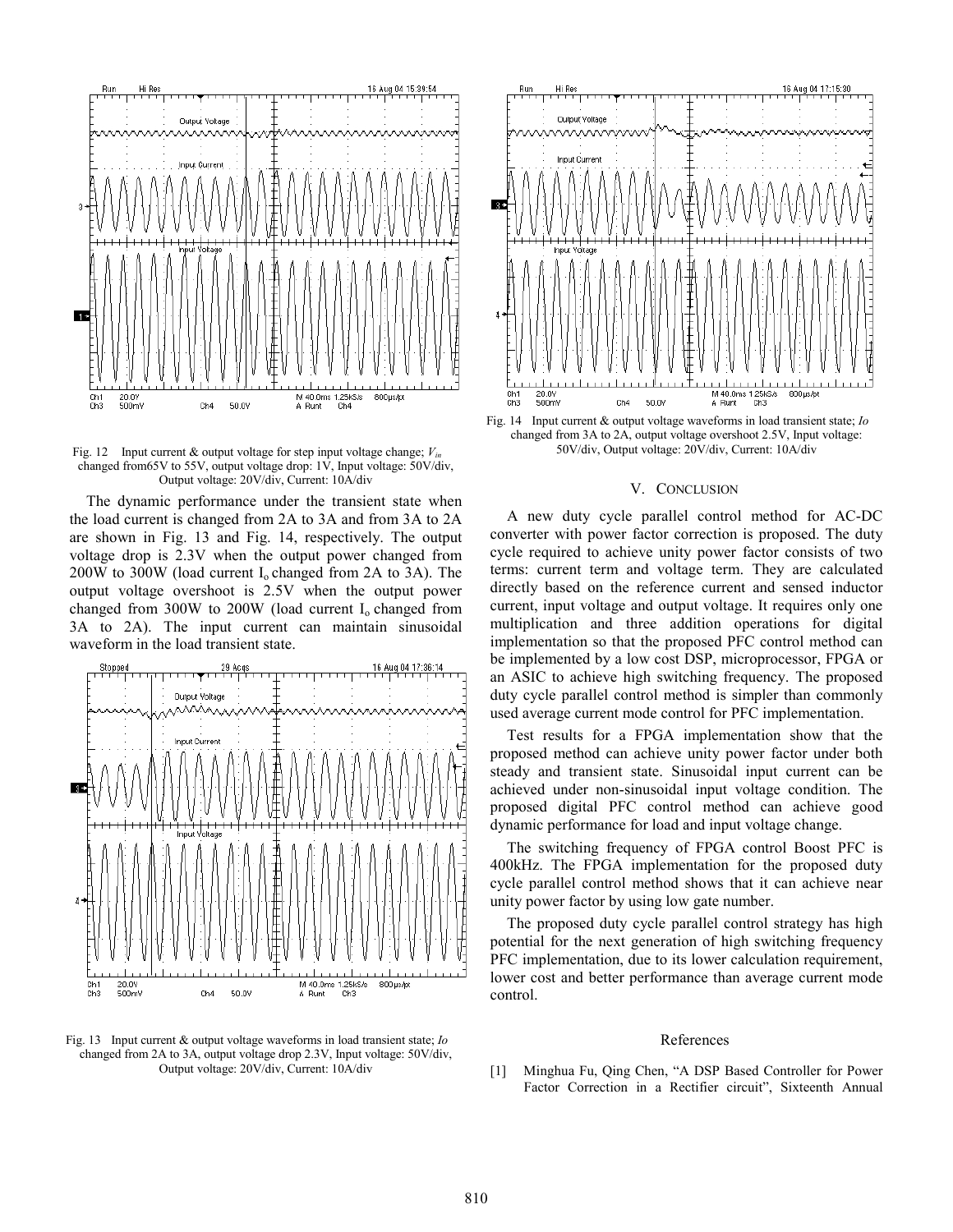

Fig. 12 Input current & output voltage for step input voltage change; *Vin* changed from65V to 55V, output voltage drop: 1V, Input voltage: 50V/div, Output voltage: 20V/div, Current: 10A/div

The dynamic performance under the transient state when the load current is changed from 2A to 3A and from 3A to 2A are shown in Fig. 13 and Fig. 14, respectively. The output voltage drop is 2.3V when the output power changed from 200W to 300W (load current  $I_0$  changed from 2A to 3A). The output voltage overshoot is 2.5V when the output power changed from  $300W$  to  $200W$  (load current  $I_0$  changed from 3A to 2A). The input current can maintain sinusoidal waveform in the load transient state.



Fig. 13 Input current & output voltage waveforms in load transient state; *Io* changed from 2A to 3A, output voltage drop 2.3V, Input voltage: 50V/div, Output voltage: 20V/div, Current: 10A/div



Fig. 14 Input current & output voltage waveforms in load transient state; *Io* changed from 3A to 2A, output voltage overshoot 2.5V, Input voltage: 50V/div, Output voltage: 20V/div, Current: 10A/div

### V. CONCLUSION

A new duty cycle parallel control method for AC-DC converter with power factor correction is proposed. The duty cycle required to achieve unity power factor consists of two terms: current term and voltage term. They are calculated directly based on the reference current and sensed inductor current, input voltage and output voltage. It requires only one multiplication and three addition operations for digital implementation so that the proposed PFC control method can be implemented by a low cost DSP, microprocessor, FPGA or an ASIC to achieve high switching frequency. The proposed duty cycle parallel control method is simpler than commonly used average current mode control for PFC implementation.

Test results for a FPGA implementation show that the proposed method can achieve unity power factor under both steady and transient state. Sinusoidal input current can be achieved under non-sinusoidal input voltage condition. The proposed digital PFC control method can achieve good dynamic performance for load and input voltage change.

The switching frequency of FPGA control Boost PFC is 400kHz. The FPGA implementation for the proposed duty cycle parallel control method shows that it can achieve near unity power factor by using low gate number.

The proposed duty cycle parallel control strategy has high potential for the next generation of high switching frequency PFC implementation, due to its lower calculation requirement, lower cost and better performance than average current mode control.

#### References

[1] Minghua Fu, Qing Chen, "A DSP Based Controller for Power Factor Correction in a Rectifier circuit", Sixteenth Annual